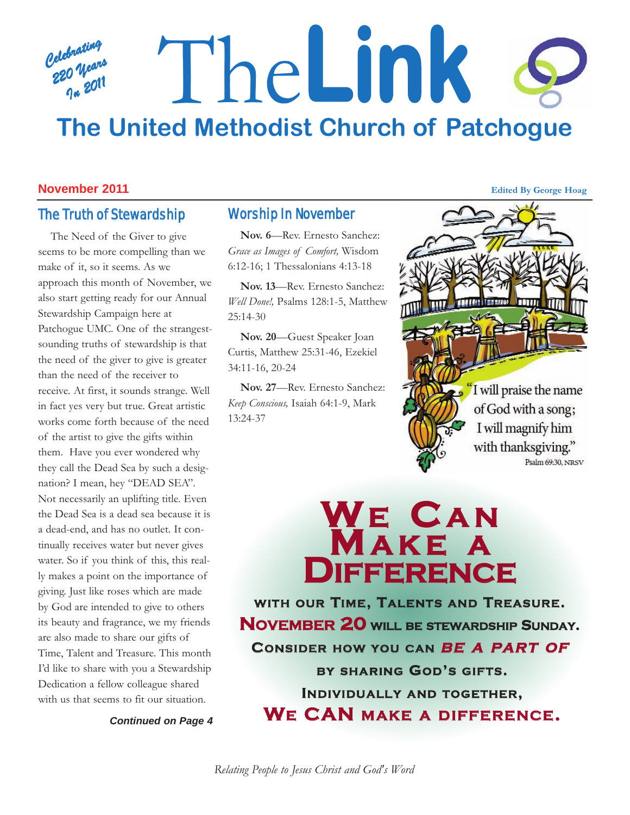# *Celebrating 220 Years In 2011* The**Link The United Methodist Church of Patchogue**

# **November 2011 Edited By George Hoag**

# The Truth of Stewardship

The Need of the Giver to give seems to be more compelling than we make of it, so it seems. As we approach this month of November, we also start getting ready for our Annual Stewardship Campaign here at Patchogue UMC. One of the strangestsounding truths of stewardship is that the need of the giver to give is greater than the need of the receiver to receive. At first, it sounds strange. Well in fact yes very but true. Great artistic works come forth because of the need of the artist to give the gifts within them. Have you ever wondered why they call the Dead Sea by such a designation? I mean, hey "DEAD SEA". Not necessarily an uplifting title. Even the Dead Sea is a dead sea because it is a dead-end, and has no outlet. It continually receives water but never gives water. So if you think of this, this really makes a point on the importance of giving. Just like roses which are made by God are intended to give to others its beauty and fragrance, we my friends are also made to share our gifts of Time, Talent and Treasure. This month I'd like to share with you a Stewardship Dedication a fellow colleague shared with us that seems to fit our situation.

### *Continued on Page 4*

# Worship In November

**Nov. 6**—Rev. Ernesto Sanchez: *Grace as Images of Comfort,* Wisdom 6:12-16; 1 Thessalonians 4:13-18

**Nov. 13**—Rev. Ernesto Sanchez: *Well Done!,* Psalms 128:1-5, Matthew 25:14-30

**Nov. 20**—Guest Speaker Joan Curtis, Matthew 25:31-46, Ezekiel 34:11-16, 20-24

**Nov. 27**—Rev. Ernesto Sanchez: *Keep Conscious,* Isaiah 64:1-9, Mark 13:24-37



# **WE CA N MA K E A DIFFERENCE**

**WITH OUR TIME, TALENTS AND TREASURE. NOVEMBER 20 WILL BE STEWARDSHIP SUNDAY. CONSIDER HOW YOU CAN BE <sup>A</sup> PART OF BY SHARING GOD'S GIFTS. INDIVIDUALLY AND TOGETHER, WE CAN MAKE A DIFFERENCE.**

*Relating People to Jesus Christ and God's Word*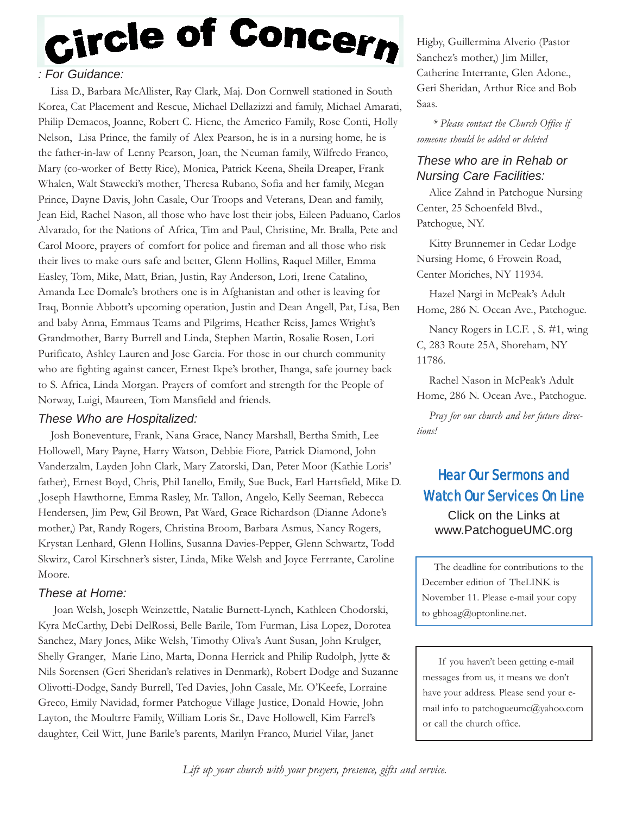# Circle of Concern

# *: For Guidance:*

Lisa D., Barbara McAllister, Ray Clark, Maj. Don Cornwell stationed in South Korea, Cat Placement and Rescue, Michael Dellazizzi and family, Michael Amarati, Philip Demacos, Joanne, Robert C. Hiene, the Americo Family, Rose Conti, Holly Nelson, Lisa Prince, the family of Alex Pearson, he is in a nursing home, he is the father-in-law of Lenny Pearson, Joan, the Neuman family, Wilfredo Franco, Mary (co-worker of Betty Rice), Monica, Patrick Keena, Sheila Dreaper, Frank Whalen, Walt Stawecki's mother, Theresa Rubano, Sofia and her family, Megan Prince, Dayne Davis, John Casale, Our Troops and Veterans, Dean and family, Jean Eid, Rachel Nason, all those who have lost their jobs, Eileen Paduano, Carlos Alvarado, for the Nations of Africa, Tim and Paul, Christine, Mr. Bralla, Pete and Carol Moore, prayers of comfort for police and fireman and all those who risk their lives to make ours safe and better, Glenn Hollins, Raquel Miller, Emma Easley, Tom, Mike, Matt, Brian, Justin, Ray Anderson, Lori, Irene Catalino, Amanda Lee Domale's brothers one is in Afghanistan and other is leaving for Iraq, Bonnie Abbott's upcoming operation, Justin and Dean Angell, Pat, Lisa, Ben and baby Anna, Emmaus Teams and Pilgrims, Heather Reiss, James Wright's Grandmother, Barry Burrell and Linda, Stephen Martin, Rosalie Rosen, Lori Purificato, Ashley Lauren and Jose Garcia. For those in our church community who are fighting against cancer, Ernest Ikpe's brother, Ihanga, safe journey back to S. Africa, Linda Morgan. Prayers of comfort and strength for the People of Norway, Luigi, Maureen, Tom Mansfield and friends.

# *These Who are Hospitalized:*

Josh Boneventure, Frank, Nana Grace, Nancy Marshall, Bertha Smith, Lee Hollowell, Mary Payne, Harry Watson, Debbie Fiore, Patrick Diamond, John Vanderzalm, Layden John Clark, Mary Zatorski, Dan, Peter Moor (Kathie Loris' father), Ernest Boyd, Chris, Phil Ianello, Emily, Sue Buck, Earl Hartsfield, Mike D. ,Joseph Hawthorne, Emma Rasley, Mr. Tallon, Angelo, Kelly Seeman, Rebecca Hendersen, Jim Pew, Gil Brown, Pat Ward, Grace Richardson (Dianne Adone's mother,) Pat, Randy Rogers, Christina Broom, Barbara Asmus, Nancy Rogers, Krystan Lenhard, Glenn Hollins, Susanna Davies-Pepper, Glenn Schwartz, Todd Skwirz, Carol Kirschner's sister, Linda, Mike Welsh and Joyce Ferrrante, Caroline Moore.

# *These at Home:*

Joan Welsh, Joseph Weinzettle, Natalie Burnett-Lynch, Kathleen Chodorski, Kyra McCarthy, Debi DelRossi, Belle Barile, Tom Furman, Lisa Lopez, Dorotea Sanchez, Mary Jones, Mike Welsh, Timothy Oliva's Aunt Susan, John Krulger, Shelly Granger, Marie Lino, Marta, Donna Herrick and Philip Rudolph, Jytte & Nils Sorensen (Geri Sheridan's relatives in Denmark), Robert Dodge and Suzanne Olivotti-Dodge, Sandy Burrell, Ted Davies, John Casale, Mr. O'Keefe, Lorraine Greco, Emily Navidad, former Patchogue Village Justice, Donald Howie, John Layton, the Moultrre Family, William Loris Sr., Dave Hollowell, Kim Farrel's daughter, Ceil Witt, June Barile's parents, Marilyn Franco, Muriel Vilar, Janet

Higby, Guillermina Alverio (Pastor Sanchez's mother,) Jim Miller, Catherine Interrante, Glen Adone., Geri Sheridan, Arthur Rice and Bob Saas.

*\* Please contact the Church Office if someone should be added or deleted*

# *These who are in Rehab or Nursing Care Facilities:*

Alice Zahnd in Patchogue Nursing Center, 25 Schoenfeld Blvd., Patchogue, NY.

Kitty Brunnemer in Cedar Lodge Nursing Home, 6 Frowein Road, Center Moriches, NY 11934.

Hazel Nargi in McPeak's Adult Home, 286 N. Ocean Ave., Patchogue.

Nancy Rogers in I.C.F. , S. #1, wing C, 283 Route 25A, Shoreham, NY 11786.

Rachel Nason in McPeak's Adult Home, 286 N. Ocean Ave., Patchogue.

*Pray for our church and her future directions!*

# Hear Our Sermons and Watch Our Services On Line

Click on the Links at www.PatchogueUMC.org

The deadline for contributions to the December edition of TheLINK is November 11. Please e-mail your copy to gbhoag@optonline.net.

If you haven't been getting e-mail messages from us, it means we don't have your address. Please send your email info to patchogueumc@yahoo.com or call the church office.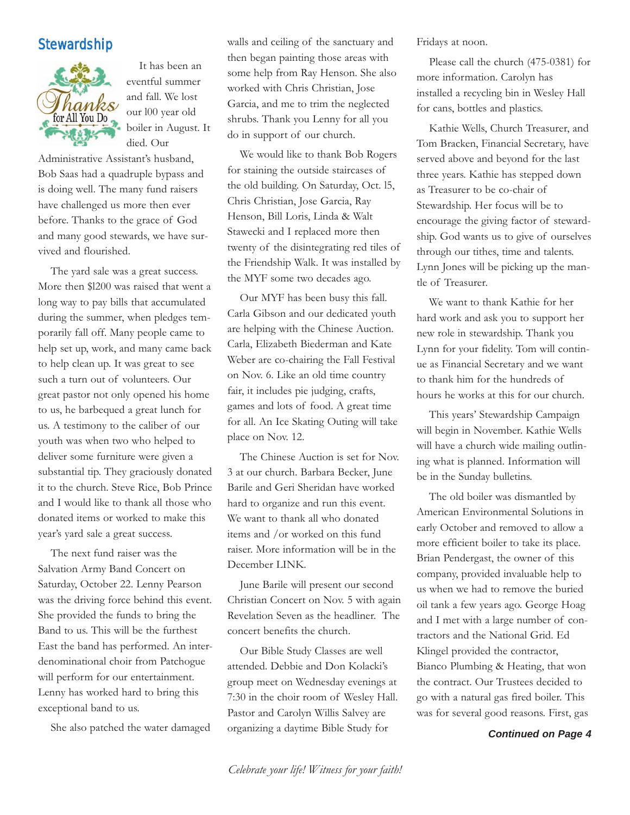# Stewardship



It has been an eventful summer and fall. We lost our l00 year old boiler in August. It died. Our

Administrative Assistant's husband, Bob Saas had a quadruple bypass and is doing well. The many fund raisers have challenged us more then ever before. Thanks to the grace of God and many good stewards, we have survived and flourished.

The yard sale was a great success. More then \$l200 was raised that went a long way to pay bills that accumulated during the summer, when pledges temporarily fall off. Many people came to help set up, work, and many came back to help clean up. It was great to see such a turn out of volunteers. Our great pastor not only opened his home to us, he barbequed a great lunch for us. A testimony to the caliber of our youth was when two who helped to deliver some furniture were given a substantial tip. They graciously donated it to the church. Steve Rice, Bob Prince and I would like to thank all those who donated items or worked to make this year's yard sale a great success.

The next fund raiser was the Salvation Army Band Concert on Saturday, October 22. Lenny Pearson was the driving force behind this event. She provided the funds to bring the Band to us. This will be the furthest East the band has performed. An interdenominational choir from Patchogue will perform for our entertainment. Lenny has worked hard to bring this exceptional band to us.

She also patched the water damaged

walls and ceiling of the sanctuary and then began painting those areas with some help from Ray Henson. She also worked with Chris Christian, Jose Garcia, and me to trim the neglected shrubs. Thank you Lenny for all you do in support of our church.

We would like to thank Bob Rogers for staining the outside staircases of the old building. On Saturday, Oct. l5, Chris Christian, Jose Garcia, Ray Henson, Bill Loris, Linda & Walt Stawecki and I replaced more then twenty of the disintegrating red tiles of the Friendship Walk. It was installed by the MYF some two decades ago.

Our MYF has been busy this fall. Carla Gibson and our dedicated youth are helping with the Chinese Auction. Carla, Elizabeth Biederman and Kate Weber are co-chairing the Fall Festival on Nov. 6. Like an old time country fair, it includes pie judging, crafts, games and lots of food. A great time for all. An Ice Skating Outing will take place on Nov. 12.

The Chinese Auction is set for Nov. 3 at our church. Barbara Becker, June Barile and Geri Sheridan have worked hard to organize and run this event. We want to thank all who donated items and /or worked on this fund raiser. More information will be in the December LINK.

June Barile will present our second Christian Concert on Nov. 5 with again Revelation Seven as the headliner. The concert benefits the church.

Our Bible Study Classes are well attended. Debbie and Don Kolacki's group meet on Wednesday evenings at 7:30 in the choir room of Wesley Hall. Pastor and Carolyn Willis Salvey are organizing a daytime Bible Study for

Fridays at noon.

Please call the church (475-0381) for more information. Carolyn has installed a recycling bin in Wesley Hall for cans, bottles and plastics.

Kathie Wells, Church Treasurer, and Tom Bracken, Financial Secretary, have served above and beyond for the last three years. Kathie has stepped down as Treasurer to be co-chair of Stewardship. Her focus will be to encourage the giving factor of stewardship. God wants us to give of ourselves through our tithes, time and talents. Lynn Jones will be picking up the mantle of Treasurer.

We want to thank Kathie for her hard work and ask you to support her new role in stewardship. Thank you Lynn for your fidelity. Tom will continue as Financial Secretary and we want to thank him for the hundreds of hours he works at this for our church.

This years' Stewardship Campaign will begin in November. Kathie Wells will have a church wide mailing outlining what is planned. Information will be in the Sunday bulletins.

The old boiler was dismantled by American Environmental Solutions in early October and removed to allow a more efficient boiler to take its place. Brian Pendergast, the owner of this company, provided invaluable help to us when we had to remove the buried oil tank a few years ago. George Hoag and I met with a large number of contractors and the National Grid. Ed Klingel provided the contractor, Bianco Plumbing & Heating, that won the contract. Our Trustees decided to go with a natural gas fired boiler. This was for several good reasons. First, gas

### *Continued on Page 4*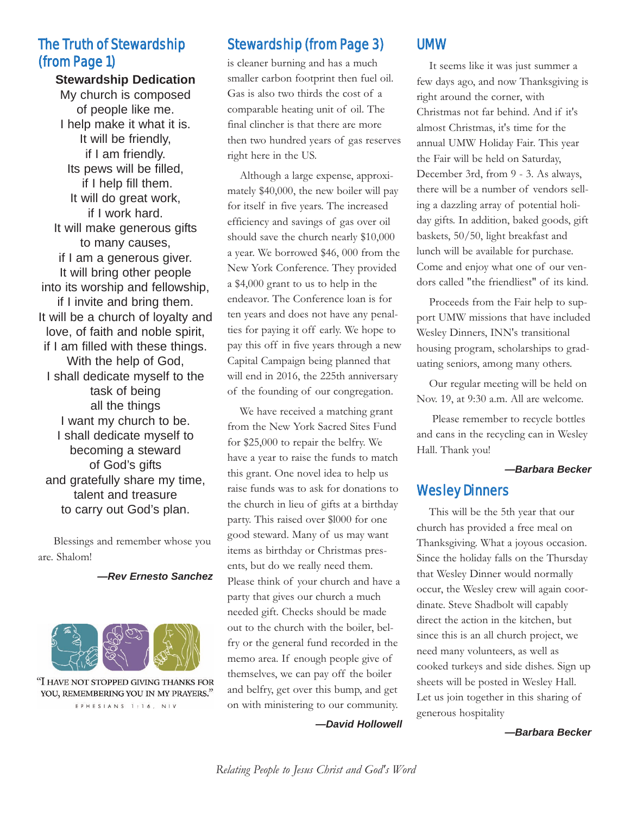# The Truth of Stewardship (from Page 1)

# **Stewardship Dedication**

My church is composed of people like me. I help make it what it is. It will be friendly, if I am friendly. Its pews will be filled, if I help fill them. It will do great work, if I work hard. It will make generous gifts to many causes, if I am a generous giver. It will bring other people into its worship and fellowship, if I invite and bring them. It will be a church of loyalty and love, of faith and noble spirit, if I am filled with these things. With the help of God, I shall dedicate myself to the task of being all the things I want my church to be. I shall dedicate myself to becoming a steward of God's gifts and gratefully share my time, talent and treasure to carry out God's plan.

Blessings and remember whose you are. Shalom!

# *—Rev Ernesto Sanchez*



"I HAVE NOT STOPPED GIVING THANKS FOR YOU, REMEMBERING YOU IN MY PRAYERS." EPHESIANS 1:16, NIV

# Stewardship (from Page 3) UMW

is cleaner burning and has a much smaller carbon footprint then fuel oil. Gas is also two thirds the cost of a comparable heating unit of oil. The final clincher is that there are more then two hundred years of gas reserves right here in the US.

Although a large expense, approximately \$40,000, the new boiler will pay for itself in five years. The increased efficiency and savings of gas over oil should save the church nearly \$10,000 a year. We borrowed \$46, 000 from the New York Conference. They provided a \$4,000 grant to us to help in the endeavor. The Conference loan is for ten years and does not have any penalties for paying it off early. We hope to pay this off in five years through a new Capital Campaign being planned that will end in 2016, the 225th anniversary of the founding of our congregation.

We have received a matching grant from the New York Sacred Sites Fund for \$25,000 to repair the belfry. We have a year to raise the funds to match this grant. One novel idea to help us raise funds was to ask for donations to the church in lieu of gifts at a birthday party. This raised over \$l000 for one good steward. Many of us may want items as birthday or Christmas presents, but do we really need them. Please think of your church and have a party that gives our church a much needed gift. Checks should be made out to the church with the boiler, belfry or the general fund recorded in the memo area. If enough people give of themselves, we can pay off the boiler and belfry, get over this bump, and get on with ministering to our community.

*—David Hollowell*

It seems like it was just summer a few days ago, and now Thanksgiving is right around the corner, with Christmas not far behind. And if it's almost Christmas, it's time for the annual UMW Holiday Fair. This year the Fair will be held on Saturday, December 3rd, from 9 - 3. As always, there will be a number of vendors selling a dazzling array of potential holiday gifts. In addition, baked goods, gift baskets, 50/50, light breakfast and lunch will be available for purchase. Come and enjoy what one of our vendors called "the friendliest" of its kind.

Proceeds from the Fair help to support UMW missions that have included Wesley Dinners, INN's transitional housing program, scholarships to graduating seniors, among many others.

Our regular meeting will be held on Nov. 19, at 9:30 a.m. All are welcome.

Please remember to recycle bottles and cans in the recycling can in Wesley Hall. Thank you!

### *—Barbara Becker*

# Wesley Dinners

This will be the 5th year that our church has provided a free meal on Thanksgiving. What a joyous occasion. Since the holiday falls on the Thursday that Wesley Dinner would normally occur, the Wesley crew will again coordinate. Steve Shadbolt will capably direct the action in the kitchen, but since this is an all church project, we need many volunteers, as well as cooked turkeys and side dishes. Sign up sheets will be posted in Wesley Hall. Let us join together in this sharing of generous hospitality

*—Barbara Becker*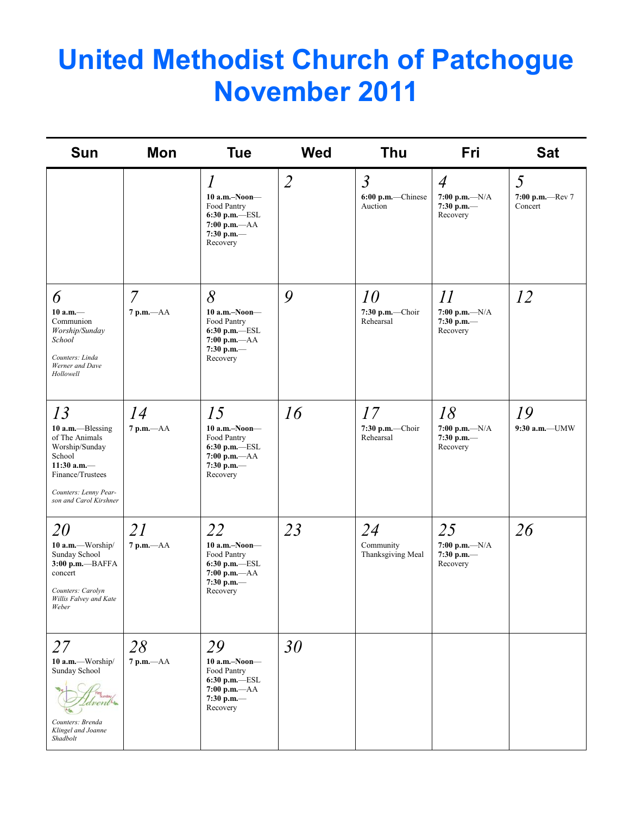# **United Methodist Church of Patchogue November 2011**

| <b>Sun</b>                                                                                                                                                   | Mon                            | <b>Tue</b>                                                                                                     | <b>Wed</b>     | <b>Thu</b>                                     | Fri                                                          | <b>Sat</b>                      |
|--------------------------------------------------------------------------------------------------------------------------------------------------------------|--------------------------------|----------------------------------------------------------------------------------------------------------------|----------------|------------------------------------------------|--------------------------------------------------------------|---------------------------------|
|                                                                                                                                                              |                                | $\overline{I}$<br>$10$ a.m.-Noon-<br>Food Pantry<br>6:30 p.m.-ESL<br>$7:00 p.m. -AA$<br>7:30 p.m.-<br>Recovery | $\overline{2}$ | $\mathfrak{Z}$<br>6:00 p.m.-Chinese<br>Auction | $\overline{4}$<br>$7:00 p.m. -N/A$<br>7:30 p.m.-<br>Recovery | 5<br>7:00 p.m.-Rev 7<br>Concert |
| 6<br>$10 a.m.$ —<br>Communion<br>Worship/Sunday<br>School<br>Counters: Linda<br>Werner and Dave<br>Hollowell                                                 | $\overline{7}$<br>$7 p.m. -AA$ | 8<br>$10$ a.m.-Noon-<br>Food Pantry<br>6:30 p.m.-ESL<br>$7:00 p.m. -AA$<br>7:30 p.m.-<br>Recovery              | 9              | 10<br>7:30 p.m.-Choir<br>Rehearsal             | 11<br>$7:00 p.m. -N/A$<br>7:30 p.m.-<br>Recovery             | 12                              |
| 13<br>10 a.m.-Blessing<br>of The Animals<br>Worship/Sunday<br>School<br>$11:30$ a.m.-<br>Finance/Trustees<br>Counters: Lenny Pear-<br>son and Carol Kirshner | 14<br>$7 p.m. -AA$             | 15<br>$10$ a.m.-Noon-<br>Food Pantry<br>6:30 p.m.-ESL<br>$7:00 p.m. -AA$<br>7:30 p.m.-<br>Recovery             | 16             | 17<br>7:30 p.m.-Choir<br>Rehearsal             | 18<br>$7:00 p.m. -N/A$<br>7:30 p.m.-<br>Recovery             | 19<br>$9:30$ a.m.-UMW           |
| 20<br>10 a.m.-Worship/<br>Sunday School<br>$3:00$ p.m. $-BAFFA$<br>concert<br>Counters: Carolyn<br>Willis Falvey and Kate<br>Weber                           | 21<br>$7 p.m. -AA$             | 22<br>$10$ a.m.-Noon-<br>Food Pantry<br>6:30 p.m.-ESL<br>$7:00 p.m. -AA$<br>7:30 p.m.-<br>Recovery             | 23             | 24<br>Community<br>Thanksgiving Meal           | 25<br>$7:00 p.m. -N/A$<br>7:30 p.m.-<br>Recovery             | 26                              |
| 27<br>10 a.m.-Worship/<br>Sunday School<br>Counters: Brenda<br>Klingel and Joanne<br>Shadbolt                                                                | 28<br>7 p.m.-- AA              | 29<br>$10$ a.m.–Noon–<br>Food Pantry<br>6:30 p.m.-ESL<br>$7:00 p.m. -AA$<br>7:30 p.m.-<br>Recovery             | 30             |                                                |                                                              |                                 |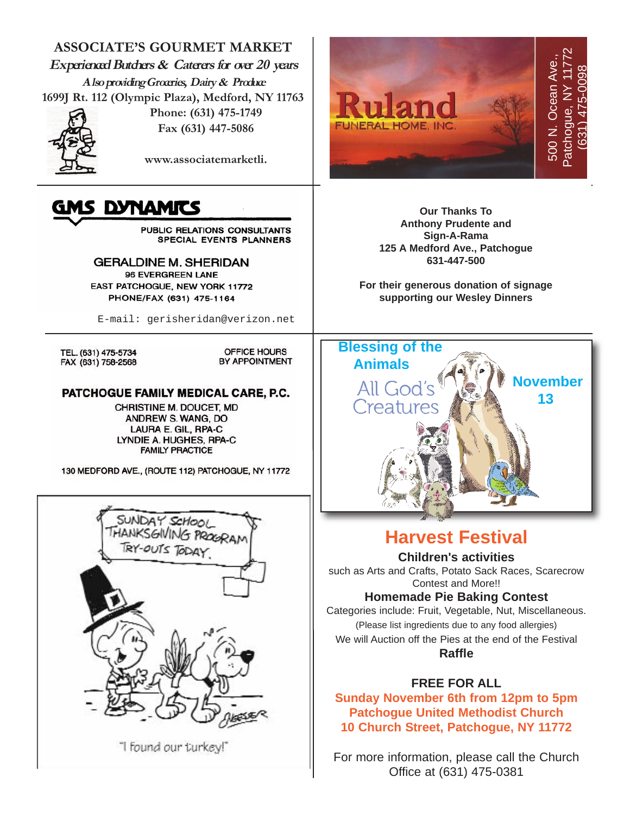**ASSOCIATE'S GOURMET MARKET Experienced Butchers & Caterers for over 20 years Also providing Groceries, Dairy & Produce 1699J Rt. 112 (Olympic Plaza), Medford, NY 11763**



**Phone: (631) 475-1749 Fax (631) 447-5086**

**www.associatemarketli.** 

# AS DYNAMITS

PUBLIC RELATIONS CONSULTANTS SPECIAL EVENTS PLANNERS

**GERALDINE M. SHERIDAN** 96 EVERGREEN LANE EAST PATCHOGUE, NEW YORK 11772 PHONE/FAX (631) 475-1164

E-mail: gerisheridan@verizon.net

TEL. (631) 475-5734 FAX (631) 758-2568

OFFICE HOURS BY APPOINTMENT

# PATCHOGUE FAMILY MEDICAL CARE, P.C.

CHRISTINE M. DOUCET, MD ANDREW S. WANG, DO LAURA E. GIL, RPA-C LYNDIE A. HUGHES, RPA-C **FAMILY PRACTICE** 

130 MEDFORD AVE., (ROUTE 112) PATCHOGUE, NY 11772





**Our Thanks To Anthony Prudente and Sign-A-Rama 125 A Medford Ave., Patchogue 631-447-500**

**For their generous donation of signage supporting our Wesley Dinners**



# **Harvest Festival**

**Children's activities**

such as Arts and Crafts, Potato Sack Races, Scarecrow Contest and More!!

# **Homemade Pie Baking Contest**

Categories include: Fruit, Vegetable, Nut, Miscellaneous. (Please list ingredients due to any food allergies) We will Auction off the Pies at the end of the Festival **Raffle**

# **FREE FOR ALL**

**Sunday November 6th from 12pm to 5pm Patchogue United Methodist Church 10 Church Street, Patchogue, NY 11772**

For more information, please call the Church Office at (631) 475-0381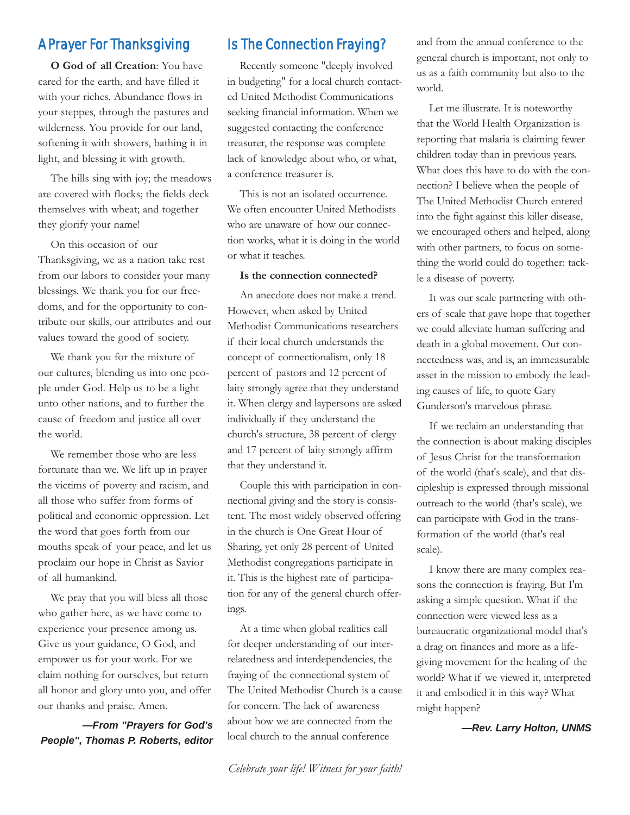# A Prayer For Thanksgiving

**O God of all Creation**: You have cared for the earth, and have filled it with your riches. Abundance flows in your steppes, through the pastures and wilderness. You provide for our land, softening it with showers, bathing it in light, and blessing it with growth.

The hills sing with joy; the meadows are covered with flocks; the fields deck themselves with wheat; and together they glorify your name!

On this occasion of our Thanksgiving, we as a nation take rest from our labors to consider your many blessings. We thank you for our freedoms, and for the opportunity to contribute our skills, our attributes and our values toward the good of society.

We thank you for the mixture of our cultures, blending us into one people under God. Help us to be a light unto other nations, and to further the cause of freedom and justice all over the world.

We remember those who are less fortunate than we. We lift up in prayer the victims of poverty and racism, and all those who suffer from forms of political and economic oppression. Let the word that goes forth from our mouths speak of your peace, and let us proclaim our hope in Christ as Savior of all humankind.

We pray that you will bless all those who gather here, as we have come to experience your presence among us. Give us your guidance, O God, and empower us for your work. For we claim nothing for ourselves, but return all honor and glory unto you, and offer our thanks and praise. Amen.

*—From "Prayers for God's People", Thomas P. Roberts, editor*

# Is The Connection Fraying?

Recently someone "deeply involved in budgeting" for a local church contacted United Methodist Communications seeking financial information. When we suggested contacting the conference treasurer, the response was complete lack of knowledge about who, or what, a conference treasurer is.

This is not an isolated occurrence. We often encounter United Methodists who are unaware of how our connection works, what it is doing in the world or what it teaches.

### **Is the connection connected?**

An anecdote does not make a trend. However, when asked by United Methodist Communications researchers if their local church understands the concept of connectionalism, only 18 percent of pastors and 12 percent of laity strongly agree that they understand it. When clergy and laypersons are asked individually if they understand the church's structure, 38 percent of clergy and 17 percent of laity strongly affirm that they understand it.

Couple this with participation in connectional giving and the story is consistent. The most widely observed offering in the church is One Great Hour of Sharing, yet only 28 percent of United Methodist congregations participate in it. This is the highest rate of participation for any of the general church offerings.

At a time when global realities call for deeper understanding of our interrelatedness and interdependencies, the fraying of the connectional system of The United Methodist Church is a cause for concern. The lack of awareness about how we are connected from the local church to the annual conference

and from the annual conference to the general church is important, not only to us as a faith community but also to the world.

Let me illustrate. It is noteworthy that the World Health Organization is reporting that malaria is claiming fewer children today than in previous years. What does this have to do with the connection? I believe when the people of The United Methodist Church entered into the fight against this killer disease, we encouraged others and helped, along with other partners, to focus on something the world could do together: tackle a disease of poverty.

It was our scale partnering with others of scale that gave hope that together we could alleviate human suffering and death in a global movement. Our connectedness was, and is, an immeasurable asset in the mission to embody the leading causes of life, to quote Gary Gunderson's marvelous phrase.

If we reclaim an understanding that the connection is about making disciples of Jesus Christ for the transformation of the world (that's scale), and that discipleship is expressed through missional outreach to the world (that's scale), we can participate with God in the transformation of the world (that's real scale).

I know there are many complex reasons the connection is fraying. But I'm asking a simple question. What if the connection were viewed less as a bureaucratic organizational model that's a drag on finances and more as a lifegiving movement for the healing of the world? What if we viewed it, interpreted it and embodied it in this way? What might happen?

*—Rev. Larry Holton, UNMS*